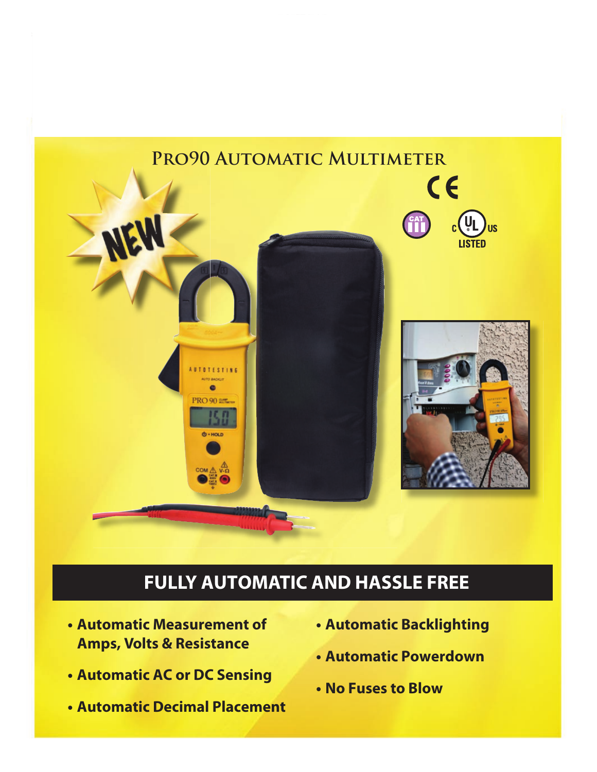

# **FULLY AUTOMATIC AND HASSLE FREE**

- **t Automatic Measurement of Amps, Volts & Resistance**
- **t Automatic AC or DC Sensing**
- **t Automatic Decimal Placement**
- **t Automatic Backlighting**
- **t Automatic Powerdown**
- **t No Fuses to Blow**